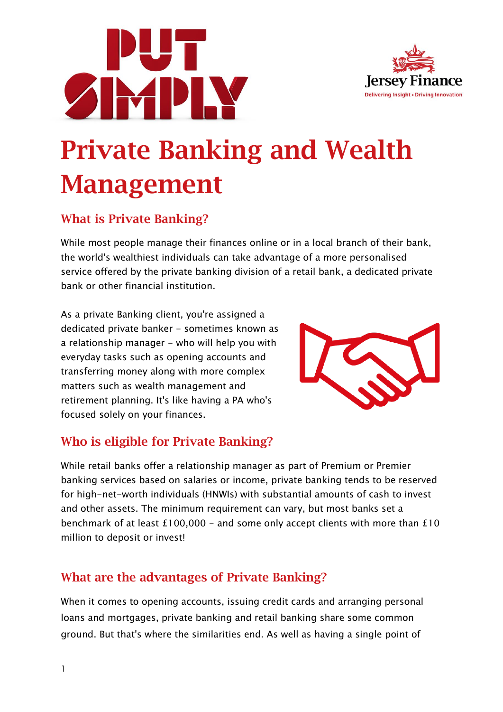



# Private Banking and Wealth Management

## What is Private Banking?

While most people manage their finances online or in a local branch of their bank, the world's wealthiest individuals can take advantage of a more personalised service offered by the private banking division of a retail bank, a dedicated private bank or other financial institution.

As a private Banking client, you're assigned a dedicated private banker - sometimes known as a relationship manager - who will help you with everyday tasks such as opening accounts and transferring money along with more complex matters such as wealth management and retirement planning. It's like having a PA who's focused solely on your finances.



## Who is eligible for Private Banking?

While retail banks offer a relationship manager as part of Premium or Premier banking services based on salaries or income, private banking tends to be reserved for high-net-worth individuals (HNWIs) with substantial amounts of cash to invest and other assets. The minimum requirement can vary, but most banks set a benchmark of at least  $£100,000 -$  and some only accept clients with more than  $£10$ million to deposit or invest!

## What are the advantages of Private Banking?

When it comes to opening accounts, issuing credit cards and arranging personal loans and mortgages, private banking and retail banking share some common ground. But that's where the similarities end. As well as having a single point of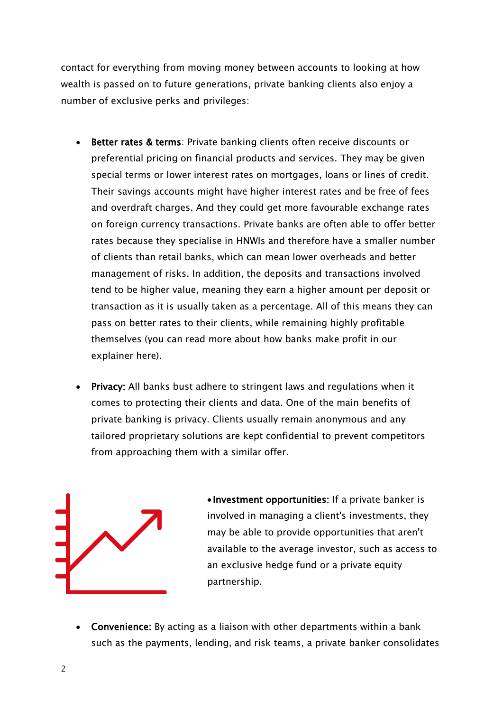contact for everything from moving money between accounts to looking at how wealth is passed on to future generations, private banking clients also enjoy a number of exclusive perks and privileges:

- Better rates & terms: Private banking clients often receive discounts or preferential pricing on financial products and services. They may be given special terms or lower interest rates on mortgages, loans or lines of credit. Their savings accounts might have higher interest rates and be free of fees and overdraft charges. And they could get more favourable exchange rates on foreign currency transactions. Private banks are often able to offer better rates because they specialise in HNWIs and therefore have a smaller number of clients than retail banks, which can mean lower overheads and better management of risks. In addition, the deposits and transactions involved tend to be higher value, meaning they earn a higher amount per deposit or transaction as it is usually taken as a percentage. All of this means they can pass on better rates to their clients, while remaining highly profitable themselves (you can read more about how banks make profit in our explainer here).
- Privacy: All banks bust adhere to stringent laws and regulations when it comes to protecting their clients and data. One of the main benefits of private banking is privacy. Clients usually remain anonymous and any tailored proprietary solutions are kept confidential to prevent competitors from approaching them with a similar offer.



• Investment opportunities: If a private banker is involved in managing a client's investments, they may be able to provide opportunities that aren't available to the average investor, such as access to an exclusive hedge fund or a private equity partnership.

• Convenience: By acting as a liaison with other departments within a bank such as the payments, lending, and risk teams, a private banker consolidates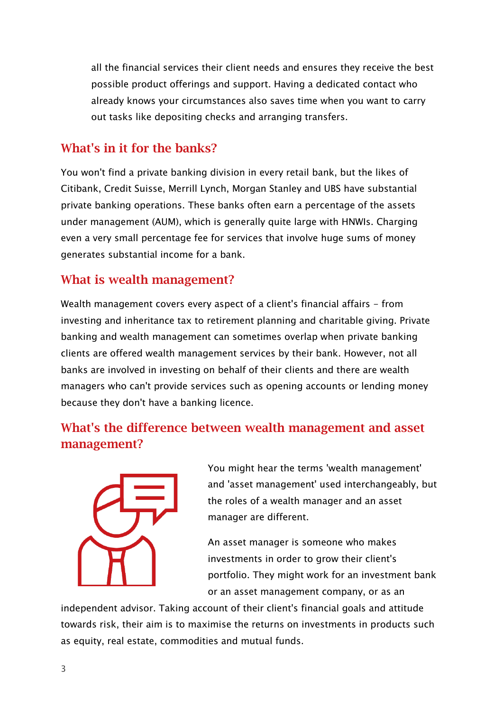all the financial services their client needs and ensures they receive the best possible product offerings and support. Having a dedicated contact who already knows your circumstances also saves time when you want to carry out tasks like depositing checks and arranging transfers.

#### What's in it for the banks?

You won't find a private banking division in every retail bank, but the likes of Citibank, Credit Suisse, Merrill Lynch, Morgan Stanley and UBS have substantial private banking operations. These banks often earn a percentage of the assets under management (AUM), which is generally quite large with HNWIs. Charging even a very small percentage fee for services that involve huge sums of money generates substantial income for a bank.

#### What is wealth management?

Wealth management covers every aspect of a client's financial affairs - from investing and inheritance tax to retirement planning and charitable giving. Private banking and wealth management can sometimes overlap when private banking clients are offered wealth management services by their bank. However, not all banks are involved in investing on behalf of their clients and there are wealth managers who can't provide services such as opening accounts or lending money because they don't have a banking licence.

## What's the difference between wealth management and asset management?



You might hear the terms 'wealth management' and 'asset management' used interchangeably, but the roles of a wealth manager and an asset manager are different.

An asset manager is someone who makes investments in order to grow their client's portfolio. They might work for an investment bank or an asset management company, or as an

independent advisor. Taking account of their client's financial goals and attitude towards risk, their aim is to maximise the returns on investments in products such as equity, real estate, commodities and mutual funds.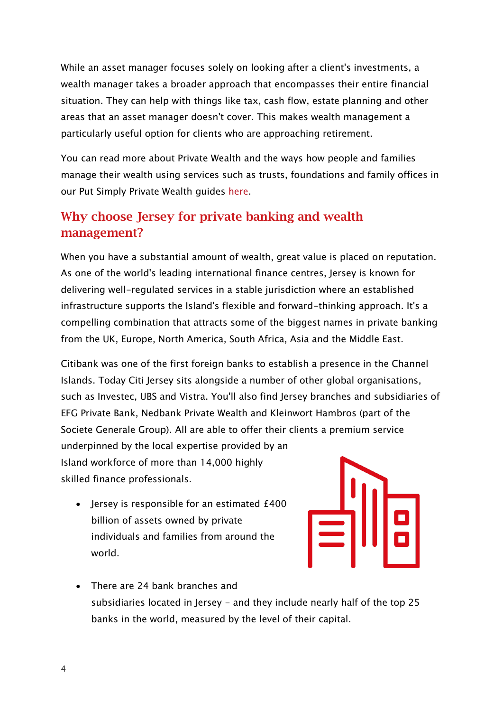While an asset manager focuses solely on looking after a client's investments, a wealth manager takes a broader approach that encompasses their entire financial situation. They can help with things like tax, cash flow, estate planning and other areas that an asset manager doesn't cover. This makes wealth management a particularly useful option for clients who are approaching retirement.

You can read more about Private Wealth and the ways how people and families manage their wealth using services such as trusts, foundations and family offices in our Put Simply Private Wealth guides [here.](https://www.jerseyfinance.je/our-work/put-simply-private-wealth/)

## Why choose Jersey for private banking and wealth management?

When you have a substantial amount of wealth, great value is placed on reputation. As one of the world's leading international finance centres, Jersey is known for delivering well-regulated services in a stable jurisdiction where an established infrastructure supports the Island's flexible and forward-thinking approach. It's a compelling combination that attracts some of the biggest names in private banking from the UK, Europe, North America, South Africa, Asia and the Middle East.

Citibank was one of the first foreign banks to establish a presence in the Channel Islands. Today Citi Jersey sits alongside a number of other global organisations, such as Investec, UBS and Vistra. You'll also find Jersey branches and subsidiaries of EFG Private Bank, Nedbank Private Wealth and Kleinwort Hambros (part of the Societe Generale Group). All are able to offer their clients a premium service underpinned by the local expertise provided by an Island workforce of more than 14,000 highly skilled finance professionals.

• Jersey is responsible for an estimated £400 billion of assets owned by private individuals and families from around the world.



• There are 24 bank branches and subsidiaries located in Jersey - and they include nearly half of the top 25 banks in the world, measured by the level of their capital.